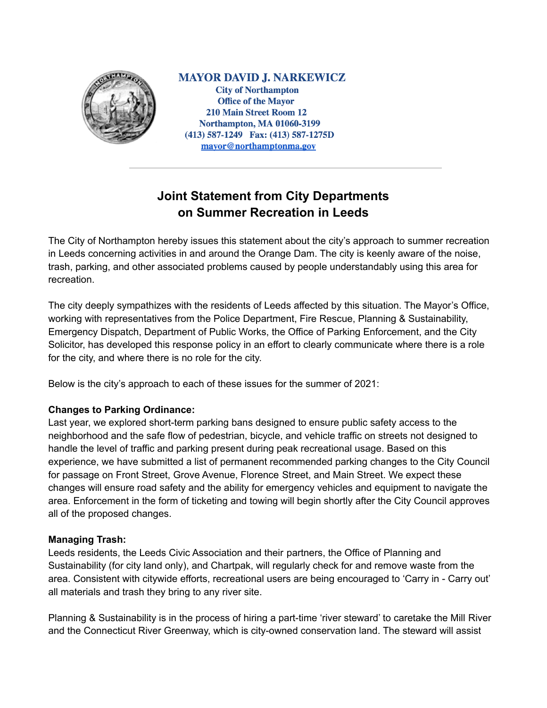

**MAYOR DAVID J. NARKEWICZ City of Northampton Office of the Mayor 210 Main Street Room 12 Northampton, MA 01060-3199** (413) 587-1249 Fax: (413) 587-1275D mayor@northamptonma.gov

# **Joint Statement from City Departments on Summer Recreation in Leeds**

The City of Northampton hereby issues this statement about the city's approach to summer recreation in Leeds concerning activities in and around the Orange Dam. The city is keenly aware of the noise, trash, parking, and other associated problems caused by people understandably using this area for recreation.

The city deeply sympathizes with the residents of Leeds affected by this situation. The Mayor's Office, working with representatives from the Police Department, Fire Rescue, Planning & Sustainability, Emergency Dispatch, Department of Public Works, the Office of Parking Enforcement, and the City Solicitor, has developed this response policy in an effort to clearly communicate where there is a role for the city, and where there is no role for the city.

Below is the city's approach to each of these issues for the summer of 2021:

## **Changes to Parking Ordinance:**

Last year, we explored short-term parking bans designed to ensure public safety access to the neighborhood and the safe flow of pedestrian, bicycle, and vehicle traffic on streets not designed to handle the level of traffic and parking present during peak recreational usage. Based on this experience, we have submitted a list of permanent recommended parking changes to the City Council for passage on Front Street, Grove Avenue, Florence Street, and Main Street. We expect these changes will ensure road safety and the ability for emergency vehicles and equipment to navigate the area. Enforcement in the form of ticketing and towing will begin shortly after the City Council approves all of the proposed changes.

## **Managing Trash:**

Leeds residents, the Leeds Civic Association and their partners, the Office of Planning and Sustainability (for city land only), and Chartpak, will regularly check for and remove waste from the area. Consistent with citywide efforts, recreational users are being encouraged to 'Carry in - Carry out' all materials and trash they bring to any river site.

Planning & Sustainability is in the process of hiring a part-time 'river steward' to caretake the Mill River and the Connecticut River Greenway, which is city-owned conservation land. The steward will assist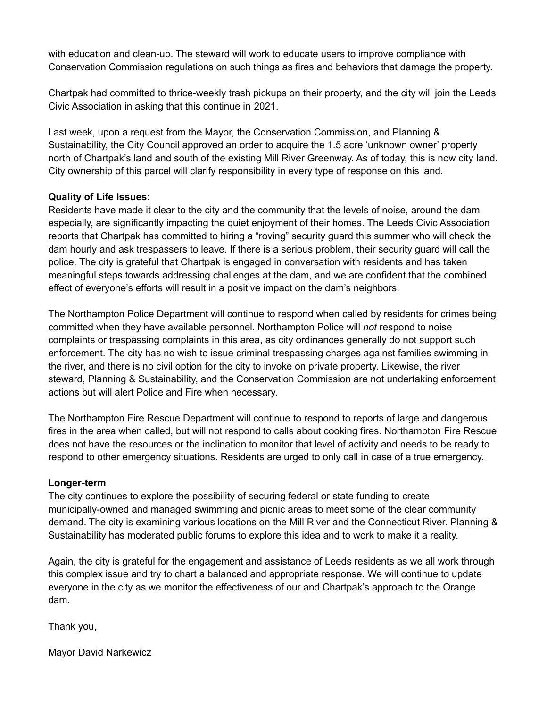with education and clean-up. The steward will work to educate users to improve compliance with Conservation Commission regulations on such things as fires and behaviors that damage the property.

Chartpak had committed to thrice-weekly trash pickups on their property, and the city will join the Leeds Civic Association in asking that this continue in 2021.

Last week, upon a request from the Mayor, the Conservation Commission, and Planning & Sustainability, the City Council approved an order to acquire the 1.5 acre 'unknown owner' property north of Chartpak's land and south of the existing Mill River Greenway. As of today, this is now city land. City ownership of this parcel will clarify responsibility in every type of response on this land.

## **Quality of Life Issues:**

Residents have made it clear to the city and the community that the levels of noise, around the dam especially, are significantly impacting the quiet enjoyment of their homes. The Leeds Civic Association reports that Chartpak has committed to hiring a "roving" security guard this summer who will check the dam hourly and ask trespassers to leave. If there is a serious problem, their security guard will call the police. The city is grateful that Chartpak is engaged in conversation with residents and has taken meaningful steps towards addressing challenges at the dam, and we are confident that the combined effect of everyone's efforts will result in a positive impact on the dam's neighbors.

The Northampton Police Department will continue to respond when called by residents for crimes being committed when they have available personnel. Northampton Police will *not* respond to noise complaints or trespassing complaints in this area, as city ordinances generally do not support such enforcement. The city has no wish to issue criminal trespassing charges against families swimming in the river, and there is no civil option for the city to invoke on private property. Likewise, the river steward, Planning & Sustainability, and the Conservation Commission are not undertaking enforcement actions but will alert Police and Fire when necessary.

The Northampton Fire Rescue Department will continue to respond to reports of large and dangerous fires in the area when called, but will not respond to calls about cooking fires. Northampton Fire Rescue does not have the resources or the inclination to monitor that level of activity and needs to be ready to respond to other emergency situations. Residents are urged to only call in case of a true emergency.

### **Longer-term**

The city continues to explore the possibility of securing federal or state funding to create municipally-owned and managed swimming and picnic areas to meet some of the clear community demand. The city is examining various locations on the Mill River and the Connecticut River. Planning & Sustainability has moderated public forums to explore this idea and to work to make it a reality.

Again, the city is grateful for the engagement and assistance of Leeds residents as we all work through this complex issue and try to chart a balanced and appropriate response. We will continue to update everyone in the city as we monitor the effectiveness of our and Chartpak's approach to the Orange dam.

Thank you,

Mayor David Narkewicz